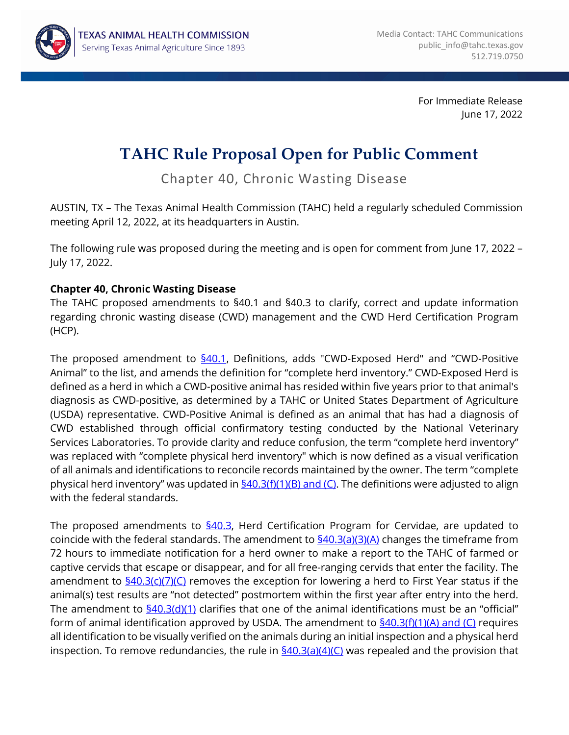

For Immediate Release June 17, 2022

## **TAHC Rule Proposal Open for Public Comment**

Chapter 40, Chronic Wasting Disease

 AUSTIN, TX – The Texas Animal Health Commission (TAHC) held a regularly scheduled Commission meeting April 12, 2022, at its headquarters in Austin.

 The following rule was proposed during the meeting and is open for comment from June 17, 2022 – July 17, 2022.

## **Chapter 40, Chronic Wasting Disease**

 The TAHC proposed amendments to §40.1 and §40.3 to clarify, correct and update information regarding chronic wasting disease (CWD) management and the CWD Herd Certification Program (HCP).

 Animal" to the list, and amends the definition for "complete herd inventory." CWD-Exposed Herd is defined as a herd in which a CWD-positive animal has resided within five years prior to that animal's diagnosis as CWD-positive, as determined by a TAHC or United States Department of Agriculture (USDA) representative. CWD-Positive Animal is defined as an animal that has had a diagnosis of Services Laboratories. To provide clarity and reduce confusion, the term "complete herd inventory" was replaced with "complete physical herd inventory" which is now defined as a visual verification of all animals and identifications to reconcile records maintained by the owner. The term "complete physical herd inventory" was updated in <u>§40.3(f)(1)(B) and (C)</u>. The definitions were adjusted to align with the federal standards. The proposed amendment to  $\frac{640.1}{2}$ , Definitions, adds "CWD-Exposed Herd" and "CWD-Positive CWD established through official confirmatory testing conducted by the National Veterinary

The proposed amendments to <u>[§40.3](https://texreg.sos.state.tx.us/public/readtac$ext.TacPage?sl=R&app=9&p_dir=&p_rloc=&p_tloc=&p_ploc=&pg=1&p_tac=&ti=4&pt=2&ch=40&rl=3)</u>, Herd Certification Program for Cervidae, are updated to coincide with the federal standards. The amendment to <u>[§40.3\(a\)\(3\)\(A\)](https://texreg.sos.state.tx.us/public/readtac$ext.TacPage?sl=R&app=9&p_dir=&p_rloc=&p_tloc=&p_ploc=&pg=1&p_tac=&ti=4&pt=2&ch=40&rl=3)</u> changes the timeframe from 72 hours to immediate notification for a herd owner to make a report to the TAHC of farmed or captive cervids that escape or disappear, and for all free-ranging cervids that enter the facility. The amendment to <u>[§40.3\(c\)\(7\)\(C\)](https://texreg.sos.state.tx.us/public/readtac$ext.TacPage?sl=R&app=9&p_dir=&p_rloc=&p_tloc=&p_ploc=&pg=1&p_tac=&ti=4&pt=2&ch=40&rl=3)</u> removes the exception for lowering a herd to First Year status if the animal(s) test results are "not detected" postmortem within the first year after entry into the herd. The amendment to <u>[§40.3\(d\)\(1\)](https://texreg.sos.state.tx.us/public/readtac$ext.TacPage?sl=R&app=9&p_dir=&p_rloc=&p_tloc=&p_ploc=&pg=1&p_tac=&ti=4&pt=2&ch=40&rl=3)</u> clarifies that one of the animal identifications must be an "official" form of animal identification approved by USDA. The amendment to <u>[§40.3\(f\)\(1\)\(A\) and \(C\)](https://texreg.sos.state.tx.us/public/readtac$ext.TacPage?sl=R&app=9&p_dir=&p_rloc=&p_tloc=&p_ploc=&pg=1&p_tac=&ti=4&pt=2&ch=40&rl=3)</u> requires all identification to be visually verified on the animals during an initial inspection and a physical herd inspection. To remove redundancies, the rule in  $\underline{S40.3(a)(4)(C)}$  was repealed and the provision that